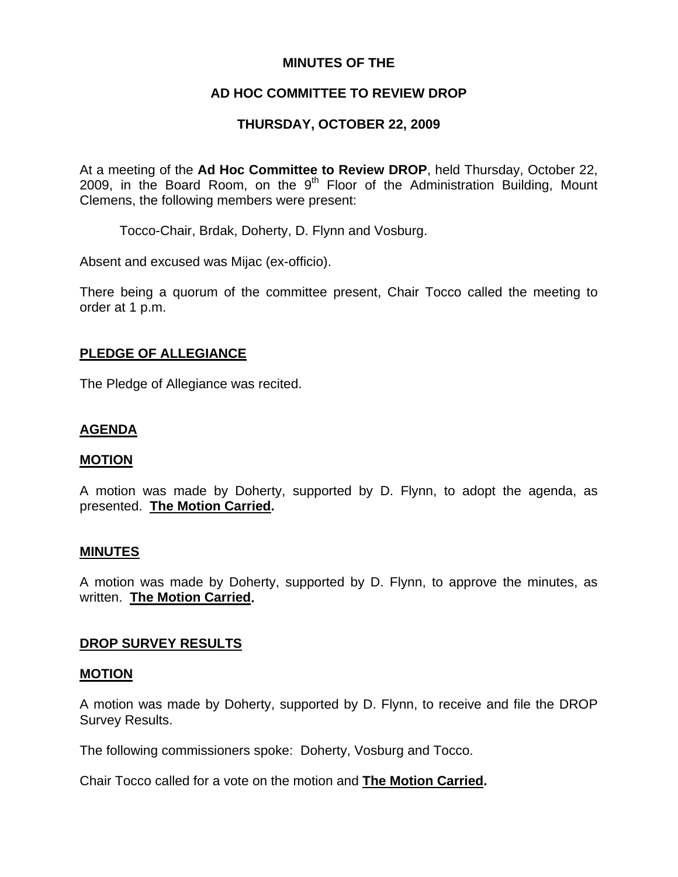### **MINUTES OF THE**

## **AD HOC COMMITTEE TO REVIEW DROP**

## **THURSDAY, OCTOBER 22, 2009**

At a meeting of the **Ad Hoc Committee to Review DROP**, held Thursday, October 22, 2009, in the Board Room, on the  $9<sup>th</sup>$  Floor of the Administration Building, Mount Clemens, the following members were present:

Tocco-Chair, Brdak, Doherty, D. Flynn and Vosburg.

Absent and excused was Mijac (ex-officio).

There being a quorum of the committee present, Chair Tocco called the meeting to order at 1 p.m.

#### **PLEDGE OF ALLEGIANCE**

The Pledge of Allegiance was recited.

### **AGENDA**

#### **MOTION**

A motion was made by Doherty, supported by D. Flynn, to adopt the agenda, as presented. **The Motion Carried.** 

#### **MINUTES**

A motion was made by Doherty, supported by D. Flynn, to approve the minutes, as written. **The Motion Carried.** 

### **DROP SURVEY RESULTS**

#### **MOTION**

A motion was made by Doherty, supported by D. Flynn, to receive and file the DROP Survey Results.

The following commissioners spoke: Doherty, Vosburg and Tocco.

Chair Tocco called for a vote on the motion and **The Motion Carried.**